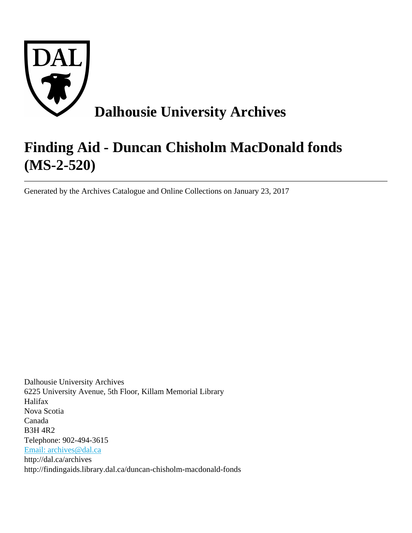

# **Finding Aid - Duncan Chisholm MacDonald fonds (MS-2-520)**

Generated by the Archives Catalogue and Online Collections on January 23, 2017

Dalhousie University Archives 6225 University Avenue, 5th Floor, Killam Memorial Library Halifax Nova Scotia Canada B3H 4R2 Telephone: 902-494-3615 [Email: archives@dal.ca](mailto:Email: archives@dal.ca) http://dal.ca/archives http://findingaids.library.dal.ca/duncan-chisholm-macdonald-fonds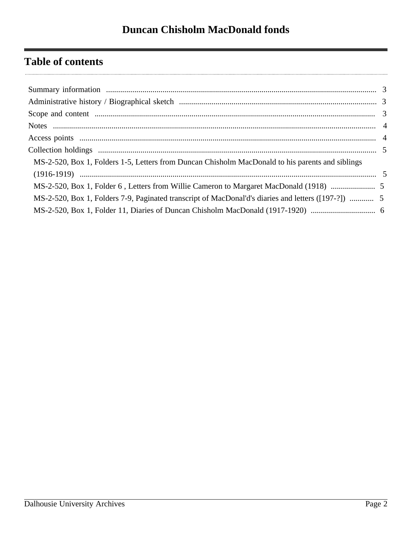# **Table of contents**

| MS-2-520, Box 1, Folders 1-5, Letters from Duncan Chisholm MacDonald to his parents and siblings    |  |
|-----------------------------------------------------------------------------------------------------|--|
|                                                                                                     |  |
|                                                                                                     |  |
| MS-2-520, Box 1, Folders 7-9, Paginated transcript of MacDonal'd's diaries and letters ([197-?])  5 |  |
|                                                                                                     |  |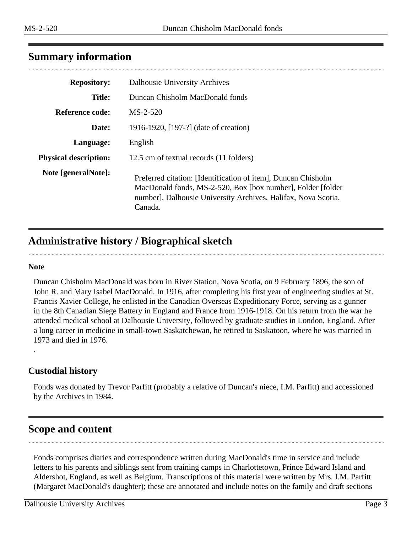# <span id="page-2-0"></span>**Summary information**

| <b>Repository:</b>           | Dalhousie University Archives                                                                                                                                                                             |
|------------------------------|-----------------------------------------------------------------------------------------------------------------------------------------------------------------------------------------------------------|
| <b>Title:</b>                | Duncan Chisholm MacDonald fonds                                                                                                                                                                           |
| Reference code:              | $MS-2-520$                                                                                                                                                                                                |
| Date:                        | 1916-1920, [197-?] (date of creation)                                                                                                                                                                     |
| Language:                    | English                                                                                                                                                                                                   |
| <b>Physical description:</b> | 12.5 cm of textual records (11 folders)                                                                                                                                                                   |
| Note [generalNote]:          | Preferred citation: [Identification of item], Duncan Chisholm<br>MacDonald fonds, MS-2-520, Box [box number], Folder [folder]<br>number], Dalhousie University Archives, Halifax, Nova Scotia,<br>Canada. |

# <span id="page-2-1"></span>**Administrative history / Biographical sketch**

#### **Note**

.

Duncan Chisholm MacDonald was born in River Station, Nova Scotia, on 9 February 1896, the son of John R. and Mary Isabel MacDonald. In 1916, after completing his first year of engineering studies at St. Francis Xavier College, he enlisted in the Canadian Overseas Expeditionary Force, serving as a gunner in the 8th Canadian Siege Battery in England and France from 1916-1918. On his return from the war he attended medical school at Dalhousie University, followed by graduate studies in London, England. After a long career in medicine in small-town Saskatchewan, he retired to Saskatoon, where he was married in 1973 and died in 1976.

#### **Custodial history**

Fonds was donated by Trevor Parfitt (probably a relative of Duncan's niece, I.M. Parfitt) and accessioned by the Archives in 1984.

# <span id="page-2-2"></span>**Scope and content**

Fonds comprises diaries and correspondence written during MacDonald's time in service and include letters to his parents and siblings sent from training camps in Charlottetown, Prince Edward Island and Aldershot, England, as well as Belgium. Transcriptions of this material were written by Mrs. I.M. Parfitt (Margaret MacDonald's daughter); these are annotated and include notes on the family and draft sections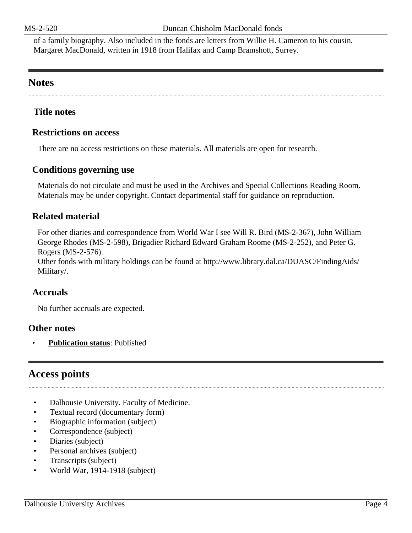of a family biography. Also included in the fonds are letters from Willie H. Cameron to his cousin, Margaret MacDonald, written in 1918 from Halifax and Camp Bramshott, Surrey.

# <span id="page-3-0"></span>**Notes**

#### **Title notes**

#### **Restrictions on access**

There are no access restrictions on these materials. All materials are open for research.

#### **Conditions governing use**

Materials do not circulate and must be used in the Archives and Special Collections Reading Room. Materials may be under copyright. Contact departmental staff for guidance on reproduction.

#### **Related material**

For other diaries and correspondence from World War I see Will R. Bird (MS-2-367), John William George Rhodes (MS-2-598), Brigadier Richard Edward Graham Roome (MS-2-252), and Peter G. Rogers (MS-2-576).

Other fonds with military holdings can be found at http://www.library.dal.ca/DUASC/FindingAids/ Military/.

#### **Accruals**

No further accruals are expected.

#### **Other notes**

• **Publication status**: Published

# <span id="page-3-1"></span>**Access points**

- Dalhousie University. Faculty of Medicine.
- Textual record (documentary form)
- Biographic information (subject)
- Correspondence (subject)
- Diaries (subject)
- Personal archives (subject)
- Transcripts (subject)
- World War, 1914-1918 (subject)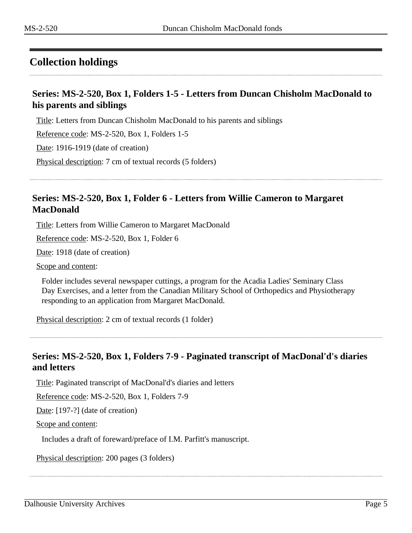# <span id="page-4-0"></span>**Collection holdings**

#### <span id="page-4-1"></span>**Series: MS-2-520, Box 1, Folders 1-5 - Letters from Duncan Chisholm MacDonald to his parents and siblings**

Title: Letters from Duncan Chisholm MacDonald to his parents and siblings

Reference code: MS-2-520, Box 1, Folders 1-5

Date: 1916-1919 (date of creation)

Physical description: 7 cm of textual records (5 folders)

### <span id="page-4-2"></span>**Series: MS-2-520, Box 1, Folder 6 - Letters from Willie Cameron to Margaret MacDonald**

Title: Letters from Willie Cameron to Margaret MacDonald

Reference code: MS-2-520, Box 1, Folder 6

Date: 1918 (date of creation)

Scope and content:

Folder includes several newspaper cuttings, a program for the Acadia Ladies' Seminary Class Day Exercises, and a letter from the Canadian Military School of Orthopedics and Physiotherapy responding to an application from Margaret MacDonald.

Physical description: 2 cm of textual records (1 folder)

#### <span id="page-4-3"></span>**Series: MS-2-520, Box 1, Folders 7-9 - Paginated transcript of MacDonal'd's diaries and letters**

Title: Paginated transcript of MacDonal'd's diaries and letters

Reference code: MS-2-520, Box 1, Folders 7-9

Date: [197-?] (date of creation)

Scope and content:

Includes a draft of foreward/preface of I.M. Parfitt's manuscript.

Physical description: 200 pages (3 folders)